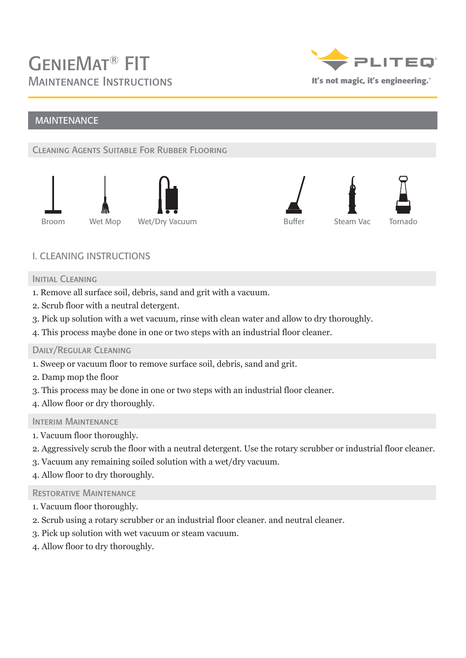

# MAINTENANCE

## Cleaning Agents Suitable For Rubber Flooring





## I. CLEANING INSTRUCTIONS

#### INITIAL CLEANING

- 1. Remove all surface soil, debris, sand and grit with a vacuum.
- 2. Scrub floor with a neutral detergent.
- 3. Pick up solution with a wet vacuum, rinse with clean water and allow to dry thoroughly.
- 4. This process maybe done in one or two steps with an industrial floor cleaner.

#### Daily/Regular Cleaning

- 1. Sweep or vacuum floor to remove surface soil, debris, sand and grit.
- 2. Damp mop the floor
- 3. This process may be done in one or two steps with an industrial floor cleaner.
- 4. Allow floor or dry thoroughly.

#### INTERIM MAINTENANCE

- 1. Vacuum floor thoroughly.
- 2. Aggressively scrub the floor with a neutral detergent. Use the rotary scrubber or industrial floor cleaner.
- 3. Vacuum any remaining soiled solution with a wet/dry vacuum.
- 4. Allow floor to dry thoroughly.

#### Restorative Maintenance

- 1. Vacuum floor thoroughly.
- 2. Scrub using a rotary scrubber or an industrial floor cleaner. and neutral cleaner.
- 3. Pick up solution with wet vacuum or steam vacuum.
- 4. Allow floor to dry thoroughly.